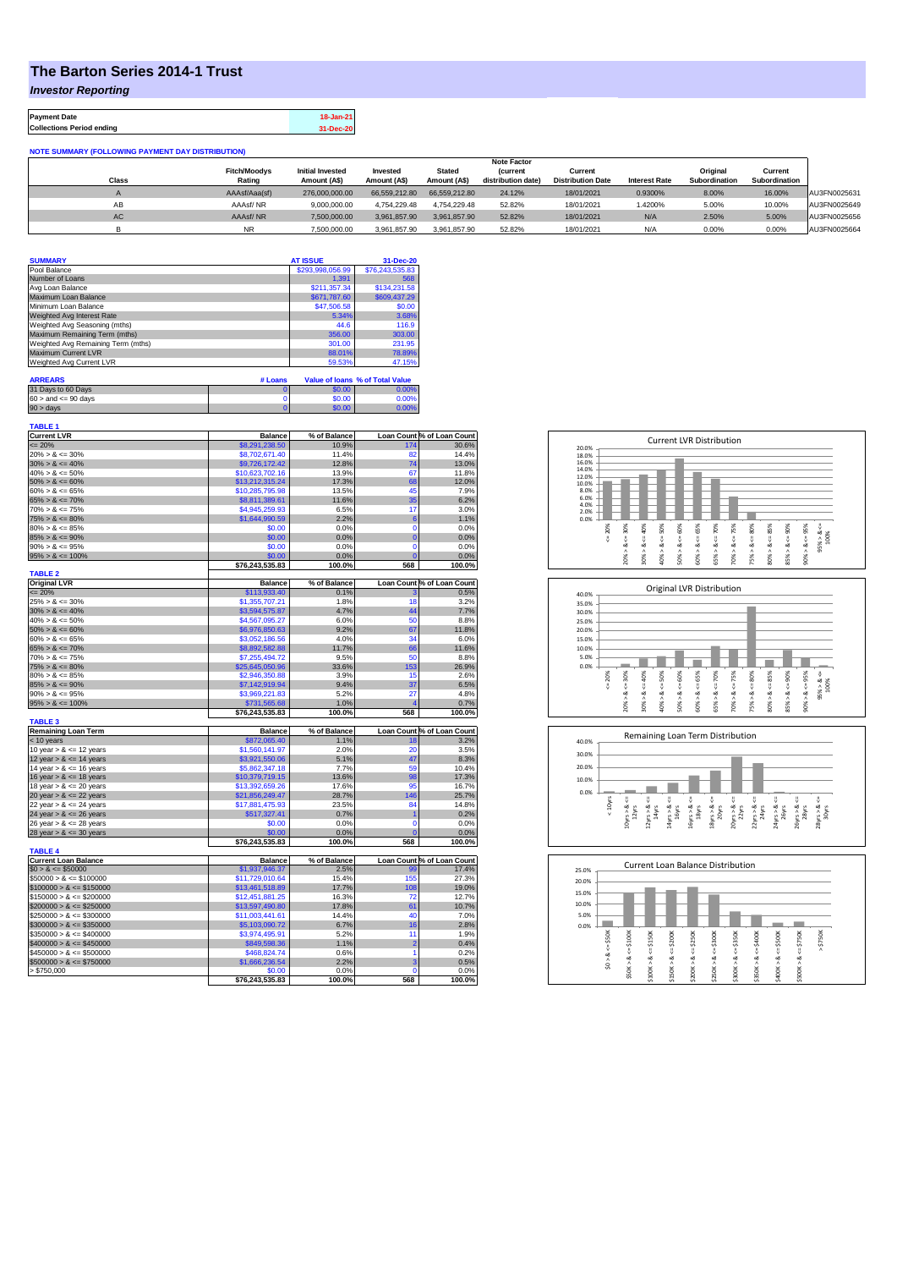## **The Barton Series 2014-1 Trust**

*Investor Reporting*

**Payment Date 18-Jan-21 Collections Period ending 31-Dec-20**

| <b>NOTE SUMMARY (FOLLOWING PAYMENT DAY DISTRIBUTION)</b> |                     |                         |               |               |                    |                          |                      |               |               |              |
|----------------------------------------------------------|---------------------|-------------------------|---------------|---------------|--------------------|--------------------------|----------------------|---------------|---------------|--------------|
|                                                          | <b>Note Factor</b>  |                         |               |               |                    |                          |                      |               |               |              |
|                                                          | <b>Fitch/Moodvs</b> | <b>Initial Invested</b> | Invested      | <b>Stated</b> | <b>(current</b>    | Current                  |                      | Original      | Current       |              |
| Class                                                    | Rating              | Amount (A\$)            | Amount (A\$)  | Amount (A\$)  | distribution date) | <b>Distribution Date</b> | <b>Interest Rate</b> | Subordination | Subordination |              |
| $\sim$                                                   | AAAsf/Aaa(sf)       | 276,000,000.00          | 66.559.212.80 | 66.559.212.80 | 24.12%             | 18/01/2021               | 0.9300%              | 8.00%         | 16.00%        | AU3FN0025631 |
| AB                                                       | AAAsf/NR            | 9.000.000.00            | 4.754.229.48  | 4.754.229.48  | 52.82%             | 18/01/2021               | 1.4200%              | 5.00%         | 10.00%        | AU3FN0025649 |
| AC.                                                      | AAAsf/NR            | 7,500,000.00            | 3.961.857.90  | 3.961.857.90  | 52.82%             | 18/01/2021               | N/A                  | 2.50%         | 5.00%         | AU3FN0025656 |
|                                                          | <b>NR</b>           | 7.500.000.00            | 3.961.857.90  | 3.961.857.90  | 52.82%             | 18/01/2021               | N/A                  | 0.00%         | 0.00%         | AU3FN0025664 |

| <b>SUMMARY</b>                     | <b>AT ISSUE</b>  | 31-Dec-20       |
|------------------------------------|------------------|-----------------|
| Pool Balance                       | \$293,998,056.99 | \$76,243,535.83 |
| Number of Loans                    | 1.391            | 568             |
| Avg Loan Balance                   | \$211,357.34     | \$134,231.58    |
| Maximum Loan Balance               | \$671,787.60     | \$609,437.29    |
| Minimum Loan Balance               | \$47,506.58      | \$0.00          |
| Weighted Avg Interest Rate         | 5.34%            | 3.68%           |
| Weighted Avg Seasoning (mths)      | 44.6             | 116.9           |
| Maximum Remaining Term (mths)      | 356.00           | 303.00          |
| Weighted Avg Remaining Term (mths) | 301.00           | 231.95          |
| Maximum Current LVR                | 88.01%           | 78.89%          |
| Weighted Avg Current LVR           | 59.53%           | 47.15%          |

| <b>ARREARS</b>            | # Loans |        | Value of Ioans % of Total Value |
|---------------------------|---------|--------|---------------------------------|
| 31 Days to 60 Days        |         | \$0.00 | 0.00%                           |
| $60 >$ and $\leq 90$ days |         | \$0.00 | 0.00%                           |
| $90 > \text{days}$        |         | \$0.00 | $0.00\%$                        |

| <b>TABLE 1</b>              |                           |                |                         |                            |
|-----------------------------|---------------------------|----------------|-------------------------|----------------------------|
| <b>Current LVR</b>          | <b>Balance</b>            | % of Balance   |                         | Loan Count % of Loan Count |
| $= 20%$                     | \$8,291,238.50            | 10.9%          | 174                     | 30.6%                      |
| $20\% > 8 \le 30\%$         | \$8,702,671.40            | 11.4%          | 82                      | 14.4%                      |
| $30\% > 8 \le 40\%$         | \$9,726,172.42            | 12.8%          | 74                      | 13.0%                      |
| $40\% > 8 \le 50\%$         | \$10,623,702.16           | 13.9%          | 67                      | 11.8%                      |
| $50\% > 8 \le 60\%$         | \$13,212,315.24           | 17.3%          | 68                      | 12.0%                      |
| $60\% > 8 \le 65\%$         | \$10,285,795.98           | 13.5%          | 45                      | 7.9%                       |
| $65\% > 8 \le 70\%$         | \$8,811,389.61            | 11.6%          | 35                      | 6.2%                       |
| $70\% > 8 \le 75\%$         | \$4,945,259.93            | 6.5%           | 17                      | 3.0%                       |
| $75\% > 8 \le 80\%$         | \$1,644,990.59            | 2.2%           | 6                       | 1.1%                       |
| $80\% > 8 \le 85\%$         | \$0.00                    | 0.0%           | $\mathbf 0$             | 0.0%                       |
| $85\% > 8 \le 90\%$         | \$0.00                    | 0.0%           | $\overline{0}$          | 0.0%                       |
| $90\% > 8 \le 95\%$         | \$0.00                    | 0.0%           | $\overline{0}$          |                            |
|                             |                           |                |                         | 0.0%                       |
| $95\% > 8 \le 100\%$        | \$0.00                    | 0.0%           | $\overline{0}$<br>568   | 0.0%                       |
|                             | \$76,243,535.83           | 100.0%         |                         | 100.0%                     |
| <b>TABLE 2</b>              |                           |                |                         |                            |
| <b>Original LVR</b>         | <b>Balance</b>            | % of Balance   |                         | Loan Count % of Loan Count |
| $= 20%$                     | \$113,933.40              | 0.1%           |                         | 0.5%                       |
| $25\% > 8 \le 30\%$         | \$1,355,707.21            | 1.8%           | 18                      | 3.2%                       |
| $30\% > 8 \le 40\%$         | \$3,594,575.87            | 4.7%           | 44                      | 7.7%                       |
| $40\% > 8 \le 50\%$         | \$4,567,095.27            | 6.0%           | 50                      | 8.8%                       |
| $50\% > 8 \le 60\%$         | \$6,976,850.63            | 9.2%           | 67                      | 11.8%                      |
| $60\% > 8 \le 65\%$         | \$3,052,186.56            | 4.0%           | 34                      | 6.0%                       |
| $65\% > 8 \le 70\%$         | \$8,892,582.88            | 11.7%          | 66                      | 11.6%                      |
| $70\% > 8 \le 75\%$         | \$7,255,494.72            | 9.5%           | 50                      | 8.8%                       |
| $75\% > 8 \le 80\%$         | \$25,645,050.96           | 33.6%          | 153                     | 26.9%                      |
| $80\% > 8 \le 85\%$         | \$2,946,350.88            | 3.9%           | 15                      | 2.6%                       |
| $85\% > 8 \le 90\%$         | \$7,142,919.94            | 9.4%           | 37                      | 6.5%                       |
| $90\% > 8 \le 95\%$         | \$3,969,221.83            | 5.2%           | 27                      | 4.8%                       |
|                             |                           |                |                         |                            |
|                             |                           |                |                         |                            |
| $95\% > 8 \le 100\%$        | \$731,565.68              | 1.0%           | $\overline{\mathbf{4}}$ | 0.7%                       |
|                             | \$76,243,535.83           | 100.0%         | 568                     | 100.0%                     |
| <b>TABLE 3</b>              |                           |                |                         |                            |
| <b>Remaining Loan Term</b>  | <b>Balance</b>            | % of Balance   |                         | Loan Count % of Loan Count |
| < 10 years                  | \$872,065.40              | 1.1%           | 18                      | 3.2%                       |
| 10 year $> 8 \le 12$ years  | \$1,560,141.97            | 2.0%           | 20                      | 3.5%                       |
| 12 year $> 8 \le 14$ years  | \$3,921,550.06            | 5.1%           | 47                      | 8.3%                       |
| 14 year $> 8 \le 16$ years  | \$5,862,347.18            | 7.7%           | 59                      | 10.4%                      |
| 16 year $> 8 \le 18$ years  | \$10,379,719.15           | 13.6%          | 98                      | 17.3%                      |
| 18 year $> 8 \le 20$ years  | \$13,392,659.26           | 17.6%          | 95                      | 16.7%                      |
| 20 year $> 8 \le 22$ years  | \$21,856,249.47           | 28.7%          | 146                     | 25.7%                      |
| 22 year $> 8 < 24$ years    | \$17,881,475.93           | 23.5%          | 84                      | 14.8%                      |
| 24 year $> 8 \le 26$ years  | \$517,327.41              | 0.7%           | 1                       | 0.2%                       |
| 26 year $> 8 \le 28$ years  | \$0.00                    | 0.0%           | $\mathbf 0$             | 0.0%                       |
| 28 year $> 8 \le 30$ years  | \$0.00                    | 0.0%           | $\overline{0}$          | 0.0%                       |
|                             | \$76,243,535.83           | 100.0%         | 568                     | 100.0%                     |
| <b>TABLE 4</b>              |                           |                |                         |                            |
| <b>Current Loan Balance</b> | <b>Balance</b>            | % of Balance   |                         | Loan Count % of Loan Count |
| $$0 > 8 \le $50000$         | \$1,937,946.37            | 2.5%           | 99                      | 17.4%                      |
| $$50000 > 8 \le $100000$    | \$11,729,010.64           | 15.4%          | 155                     | 27.3%                      |
|                             |                           |                |                         |                            |
| $$100000 > 8 \le $150000$   | \$13,461,518.89           | 17.7%          | 108                     | 19.0%                      |
| $$150000 > 8 \le $200000$   | \$12,451,881.25           | 16.3%          | 72                      | 12.7%                      |
| $$200000 > 8 \leq $250000$  | \$13,597,490.80           | 17.8%          | 61                      | 10.7%                      |
| $$250000 > 8 \leq $300000$  | \$11,003,441.61           | 14.4%          | 40                      | 7.0%                       |
| $$300000 > 8 \leq $350000$  | \$5,103,090.72            | 6.7%           | 16                      | 2.8%                       |
| $$350000 > 8 \le $400000$   | \$3,974,495.91            | 5.2%           | 11                      | 1.9%                       |
| $$400000 > 8 \leq $450000$  | \$849,598.36              | 1.1%           | $\overline{2}$          | 0.4%                       |
| $$450000 > 8 \leq $500000$  | \$468,824,74              | 0.6%           | 1                       | 0.2%                       |
| $$500000 > 8 \leq $750000$  | \$1,666,236.54            | 2.2%           | 3                       | 0.5%                       |
| > \$750,000                 | \$0.00<br>\$76,243,535.83 | 0.0%<br>100.0% | $\Omega$<br>568         | 0.0%<br>100.0%             |







| 25.0% |            |        |         |         |         |         | <b>Current Loan Balance Distribution</b> |         |         |         |          |  |
|-------|------------|--------|---------|---------|---------|---------|------------------------------------------|---------|---------|---------|----------|--|
| 20.0% |            |        |         |         |         |         |                                          |         |         |         |          |  |
| 15.0% |            |        |         |         |         |         |                                          |         |         |         |          |  |
| 10.0% |            |        |         |         |         |         |                                          |         |         |         |          |  |
| 5.0%  |            |        |         |         |         |         |                                          |         |         |         |          |  |
| 0.0%  |            |        |         |         |         |         |                                          |         |         |         |          |  |
|       | \$50K      | \$100K | \$150K  | \$200K  | \$250K  | \$300K  | \$350K                                   | \$400K  | \$500K  | \$750K  | \$750K   |  |
|       |            |        |         |         |         |         |                                          |         |         |         | $\wedge$ |  |
|       | ∞          | 8 <    | œ       | ő<br>∞  | œ       | ₩<br>œ  | œ                                        | 8<br>œ  | œ       | œ       |          |  |
|       | $\hat{50}$ | \$50K> | ٨       |         |         |         |                                          |         |         |         |          |  |
|       |            |        | \$100K3 | \$150K> | \$200K> | \$250K> | \$300K>                                  | \$350K> | \$400K> | \$500K> |          |  |